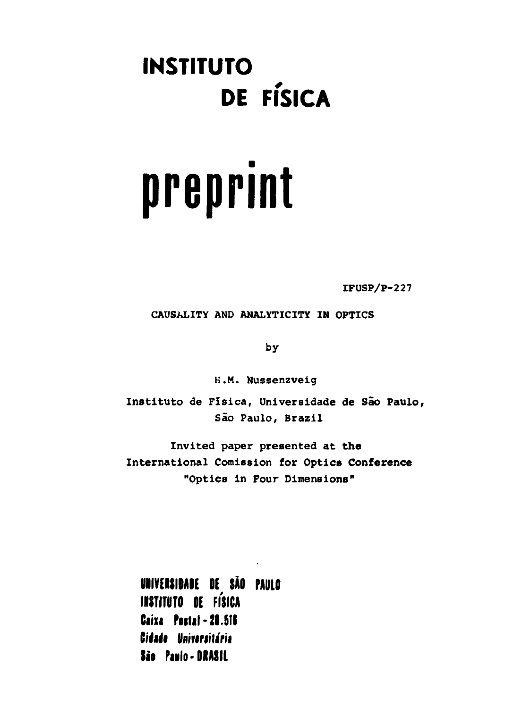# **INSTITUTO DE FÍSICA**

# **preprint**

**IFUSP/P-227**

**CAUSALITY AND ANALYTICITY IN OPTICS**

by

H.M. Nussenzveig

**Instituto** de Física, **Universidade de São Paulo,** São **Paulo, Brazil**

Invited paper **presented at the International Comission for Optics Conference "Optics in Four Dimensions"**

**UNIVERSIDADE** DE SÃO PAULO **INSTITUTO** DE FÍSICA Caixa Postal - 20.516 Cidade Universitária **São Paulo- BRASIL**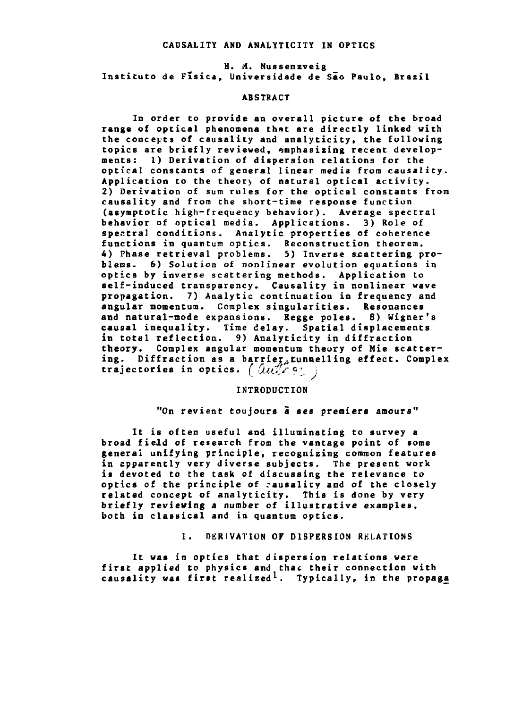#### **CAUSALITY AND ANALYT1C1TY IN OPTICS**

**H. A. Nussenzveig Instituto de Física, Universidade de São Paulo, Brazil**

# **ABSTRACT**

**In order to provide an overall picture of the broad range of optical phenomena that are directly linked with the conceits of causality and analyticity, the following topics are briefly reviewed, emphasizing recent developments: 1) Derivation of dispersion relations for the optical constants of general linear media from causality. Application to the theory of natural optical activity. 2) Derivation of sum rules for the optical constants from causality and from the short-time response function (asymptotic high-frequency behavior). Average spectral behavior of optical media. Applications. 3) Role of spectral conditions. Analytic properties of coherence functions in quantum optics. Reconstruction theorem. 4) Phase retrieval problems. 5) Inverse scattering problems. 6) Solution of nonlinear evolution equations in optics by inverse scattering methods. Application to self-induced transparency. Causality in nonlinear wave propagation. 7) Analytic continuation in frequency and angular momentum. Complex singularities. Resonances and natural-mode expansions. Regge poles. 8) Wigner's causal inequality. Time delay. Spatial displacements in total reflection. 9) Analyticity in diffraction theory. Complex angular momentum theory of Mie scattering. Diffraction as a barrier-.tunaell ing effect. Complex trajectories in optics. ( CUi\*/'<sup>c</sup>••**

#### *INTRODUCTION* **INTRODUCTION**

"On revient toujours *a* ses premiers amours"

**It is often useful and illuminating to survey a broad field of research from the vantage point of some general unifying principle, recognizing common features in apparently very diverse subjects. The present work is devoted to the task of discussing the relevance to optics of the principle of causality and of the closely related concept of analyticity. This is done by very briefly reviewing a number of illustrative examples, both in classical and in quantum optics.**

# **1. DERIVATION OF DISPERSION RELATIONS**

**It was in optics that dispersion relations were first applied to physics and that their connection with causality was first realized<sup>1</sup> . Typically, in the propaga**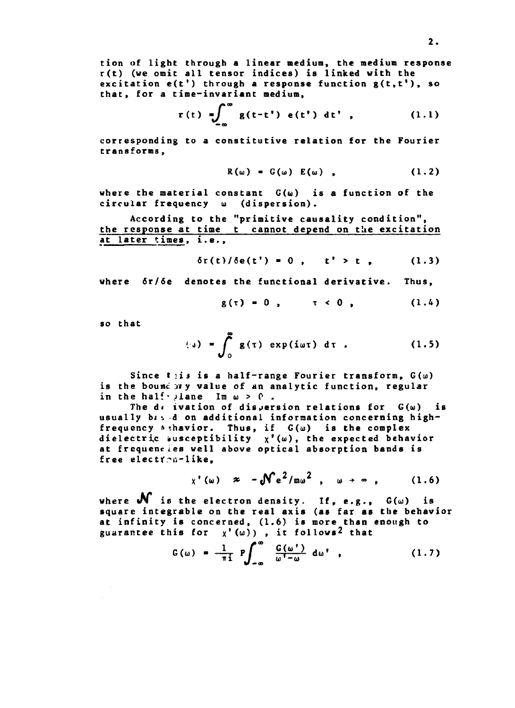**tion of light through a linear medium, the medium response r(t) (we omit all tensor indices) is linked with the excitation e(t') through a response function g(t.t'), so that, for a time-invariant medium,**

$$
r(t) = \int_{-\infty}^{\infty} g(t-t') e(t') dt',
$$
 (1.1)

**corresponding to a constitutive relation for the Fourier transforms,**

$$
R(\omega) = G(\omega) E(\omega), \qquad (1.2)
$$

**where the material constant G(u) is a function of the** circular frequency **w** (dispersion).

**According to the "primitive causality condition", the response at time t cannot depend on the excitation at later times, i.e.,**

$$
\delta r(t)/\delta e(t') = 0
$$
,  $t' > t$ , (1.3)

**where ôr/ôe denotes the functional derivative. Thus,**

$$
g(\tau) = 0
$$
,  $\tau < 0$ , (1.4)

**so that**

$$
\begin{pmatrix} \cdot \ 0 \end{pmatrix} = \int_0^{\infty} g(\tau) \exp(i\omega \tau) d\tau . \qquad (1.5)
$$

Since **t**)is is a half-range Fourier transform,  $G(\omega)$ is the bound my value of an analytic function, regular in the half- $\lambda$ lane Im  $\omega > 0$ .

The  $d \in i$  vation of dispersion relations for  $G(\omega)$  is usually bised on additional information concerning highfrequency  $\triangleright$  thavior. Thus, if  $G(\omega)$  is the complex **dielectric «usceptibility x\* (<•>), the expected behavior at frequencies well above optical absorption bands is free electr\~n-like,**

$$
\chi'(\omega) \approx -\mathcal{N}e^2/m\omega^2, \omega \rightarrow \infty, \qquad (1.6)
$$

where  $\mathbf{M}$  is the electron density. If, e.g.,  $G(\omega)$  is **square integrable on the real axis (as far as the behavior at infinity is concerned, (1.6) is more than enough to** guarantee this for  $\chi'(\omega)$ ), it follows<sup>2</sup> that

$$
G(\omega) = \frac{1}{\pi i} P \int_{-\infty}^{\infty} \frac{G(\omega')}{\omega' - \omega} d\omega', \qquad (1.7)
$$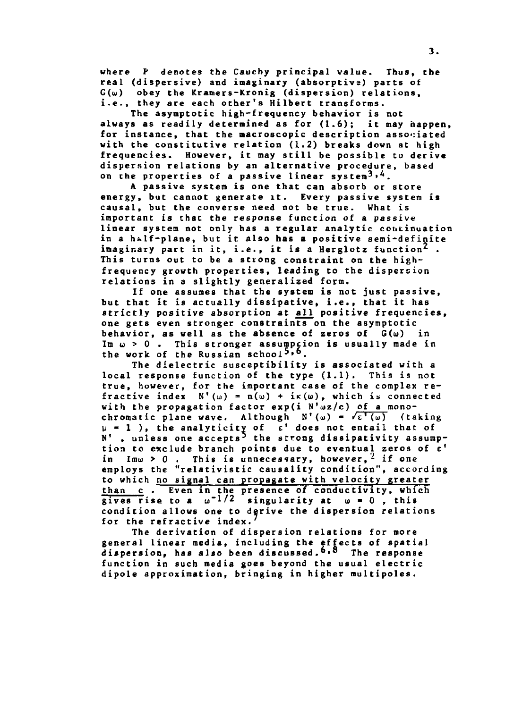**where P denotes the Cauchy principal value. Thus, the real (dispersive) and imaginary (absorptive) parts of G(u) obey the Kramers-Kronig (dispersion) relations,** i.e., they are each other's Hilbert transforms.

**The asymptotic high-frequency behavior is not always as readily determined as for (1.6); it may happen, for instance, that the macroscopic description associated with the constitutive relation (1.2) breaks down at high frequencies. However, it may still be possible to derive dispersion relations by an alternative procedure, based** on the properties of a passive linear system<sup>3,4</sup>.

**A passive system is one that can absorb or store energy, but cannot generate it. Every passive system is causal, but the converse need not be true. What is important is that the response function of a passive linear system not only has a regular analytic continuation in a hálf-plane, but it also has a positive semi-definite imaginary part in it, i.e., it is a Herglotz function<sup>2</sup> . This turns out to be a strong constraint on the highfrequency growth properties, leading to the dispersion relations in a slightly generalized form.**

**If one assumes that the system is not just passive, but that it is actually dissipative, i.e., that it has strictly positive absorption at all positive frequencies, one gets even stronger constraints on the asymptotic behavior, as well as the absence of zeros of G(u) in** Im  $\omega > 0$ . This stronger assumpcion is usually made in **the work of the Russian school<sup>5</sup>» 6.**

**The dielectric susceptibility is associated with a local response function of the type (1.1). This is not true, however, for the important case of the complex refractive index**  $N'(\omega) = n(\omega) + i\kappa(\omega)$ , which is connected **with the propagation factor exp(i N'uz/c) of a mono**chromatic plane wave. Although  $N'(\omega) = \sqrt{\epsilon'(\omega)}$  (taking **U - 1 ), the analyticity of e' does not entail that of N' , unless one accepts\* the strong dissipativity assumption to exclude branch points due to eventual zeros of e' in Imu > 0 . This is unnecessary, however,^ if one** employs the "relativistic causality condition", according **to which no signal can propagate with velocity greater than c . Even in the presence of conductivity, which gives rise to a u"l/2 singularity at w • 0 , this condition allows one to derive the dispersion relations for the refractive index.**

**The derivation of dispersion relations for more general linear media, including the effects of spatial dispersion, has also been discussed,\*»" The response function in such media goes beyond the usual electric dipole approximation, bringing in higher multipoles.**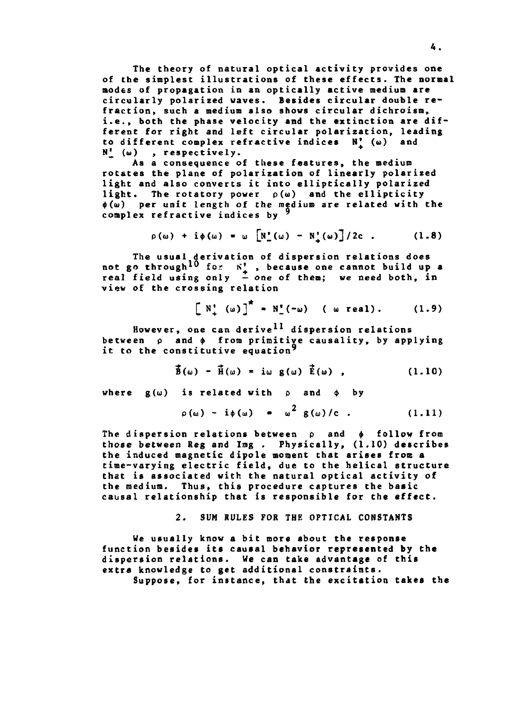**The theory of natural optical activity provides one of the simplest illustrations of these effects. The normal modes of propagation in an optically active medium are circularly polarized waves. Besides circular double refraction, such a medium also shows circular dichroism, i.e., both the phase velocity and the extinction are different for right and left circular polarization, leading to different complex refractive indices N| (w) and N^ (w) , respectively.**

**As a consequence of these features, the medium rotates the plane of polarization of linearly polarized light and also converts it into elliptically polarized light. The rotatory power p(u) and the ellipticity <&(<u) per unit length of the medium are related with the complex refractive indices by**

$$
\rho(\omega) + i\phi(\omega) = \omega \left[ N_{\perp}(\omega) - N_{\downarrow}(\omega) \right] / 2c \quad . \tag{1.8}
$$

**The usual derivation of dispersion relations does not go through<sup>1</sup>\*\* for K<sup>1</sup> , because one cannot build up a real field using only — one of them; we need both, in view of the crossing relation**

 $[N'_{\cdot}(\omega)]^* = N'_{\cdot}(-\omega)$  ( w real). (1.9)

**However, one can derive<sup>11</sup> dispersion relations** between  $\rho$  and  $\phi$  from primitive causality, by applying **it to the constitutive equation'**

$$
\vec{B}(\omega) - \vec{H}(\omega) = i\omega g(\omega) \vec{E}(\omega), \qquad (1.10)
$$

where  $g(\omega)$  is related with  $\rho$  and  $\phi$  by

$$
\rho(\omega) - i\phi(\omega) = \omega^2 g(\omega)/c . \qquad (1.11)
$$

**The dispersion relations between p and \$ follow from those between Reg and Img . Physically, (1.10) describes the induced magnetic dipole moment that arises from a time-varying electric field, due to the helical structure that is associated with the natural optical activity of the medium. Thus, this procedure captures the basic causal relationship that is responsible for the effect.**

**2. SUM RULES FOR THE OPTICAL CONSTANTS**

**We usually know a bit more about the response function besides its causal behavior represented by the dispersion relations. We can take advantage of this extra knowledge to get additional constraints. Suppose, for instance, that the excitation takes the**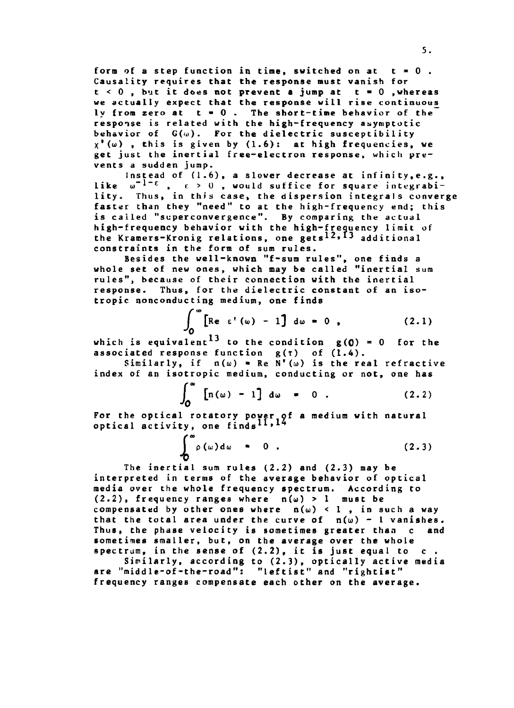**form of a step function in tine, switched on at t » 0 . Causality requires that the response must vanish for t < 0 , but it does not prevent a jump at t » 0 .whereas we actually expect that the response will rise continuous ly from zero at t « 0 . The short-time behavior of the response is related with the high-frequency asymptotic behavior of G(<>>). For the dielectric susceptibility x'(<i>) , this is given by (1.6): at high frequencies, we get just the inertial free-electron response, which prevents a sudden jump.**

**Instead of (1.6), a slower decrease at infinity,e .g.,** like  $w^{-1-\epsilon}$ ,  $\epsilon > 0$ , would suffice for square integrabi**lity. Thus, in this case, the dispersion integrals converge faster than they "need" to at the high-frequency end; this is called "scperconvergence". By comparing the actual high-frequency behavior with the high-frequency limit of the Kramers-Kronig relations, one gets<sup>l</sup>2,I3 additional constraints in the form of sum rules.**

**Besides the well-known "f-sum rules", one finds a whole set of new ones, which may be called "inertial sum rules", because of their connection with the inertial response. Thus, for the dielectric constant of an isotropic nonconducting medium, one finds**

$$
\int_0^\infty \left[ \text{Re } \varepsilon' \left( \omega \right) - 1 \right] \, d\omega = 0 \quad , \tag{2.1}
$$

**which is equivalent to the condition g(0) • 0 for the associated response function g(f) of (1.4).**

**Similarly, if n(ui) • Re N<sup>f</sup> (u) is the real refractive index of an isotropic medium, conducting or not, one has**

$$
\int_0^\infty \left[ \ln(\omega) - 1 \right] d\omega = 0 . \qquad (2.2)
$$

For the optical rotatory power of a medium with natural **optical activity, one finds '**

$$
\int_{0}^{\infty} \rho(\omega) d\omega = 0
$$
 (2.3)

**The inertial sum rules (2.2) and (2.3) may be interpreted in terms of the average behavior of optical media over the whole frequency spectrum. According to (2.2), frequency ranges where n(ui) > 1 must be** compensated by other ones where  $n(\omega) < 1$ , in such a way that the total area under the curve of  $n(\omega)$  - 1 vanishes. **Thus, the phase velocity is sometimes greater than c and sometimes smaller, but, on the average over the whole spectrum, in the sense of (2.2), it is just equal to c .**

**Similarly, according to (2.3), optically active media are "middle-of-the-road": "leftist" and "rightist" frequency ranges compensate each other on the average.**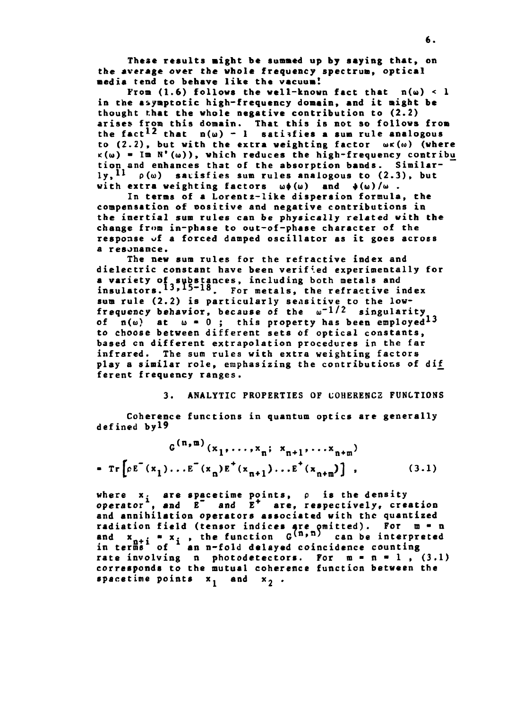**These results might be summed up by saying that, on the average over the whole frequency spectrum, optical •edia tend to behave like the vacuum!**

From  $(1.6)$  follows the well-known fact that  $n(\omega) < 1$ **in the asymptotic high-frequency domain, and it might be thought that the whole negative contribution to (2.2) arises from this domain. That this is not so follows from** the fact<sup>12</sup> that  $n(\omega) - 1$  satisfies a sum rule analogous to (2.2), but with the extra weighting factor  $w \kappa(w)$  (where  $K(\omega)$  = Im  $N'(\omega)$ ), which reduces the high-frequency contribu **tion and enhances that of the absorption bands. Similarly,<sup>11</sup> p(<») satisfies sum rules analogous to (2.3), but** with extra weighting factors  $\omega \phi(\omega)$  and  $\phi(\omega)/\omega$ .

**In terms of a Lorentz-like dispersion formula, the compensation of oositive and negative contributions in the inertial sum rules can be physically related with the change from in-phase to out-of-phase character of the response of a forced damped oscillator as it goes across a resonance.**

**The new sum rules for the refractive index and dielectric constant have been verified experimentally for a variety of substances, including both metals and insulators.<sup>1</sup>'\*\*5~l&. For metals, the refractive index sum rule (2.2) is particularly sensitive to the lowfrequency behavior, because of the u'<sup>1</sup>/ <sup>2</sup> singularity** of  $n(\omega)$  at  $\omega = 0$ ; this property has been employed<sup>13</sup> **to choose between different sets of optical constants, based en different extrapolation procedures in the far infrared. The sum rules with extra weighting factors play a similar role, emphasizing the contributions of di£ ferent frequency ranges.**

# **3. ANALYTIC PROPERTIES OF COHERENCE FUNCTIONS**

**Coherence functions in quantum optics are generally defined byi9**

$$
G^{(n,m)}(x_1, ..., x_n; x_{n+1}, ..., x_{n+m})
$$
  
\n•  $\text{Tr}\left[e^{E^-(x_1)}...E^-(x_n)E^+(x_{n+1})...E^+(x_{n+m})\right],$  (3.1)

**where x. are spacetime points, p is the density operator , and E~ and E<sup>+</sup> are, respectively, creation and annihilation operators associated with the quantized radiation field (tensor indices are omitted). For m - n** and  $x_{n+i} = x_i$ , the function  $G^{(n,n)}$  can be interpreted **in terms of an n-fold delayed coincidence counting** in terme<sup>t</sup> of <sup>\*</sup> an n-fold delayed coincidence counting<br>rate involving n photodetectors. For m = n = 1, (3.1) **corresponds to the mutual coherence function between the** spacetime points  $x_1$  and  $x_2$ .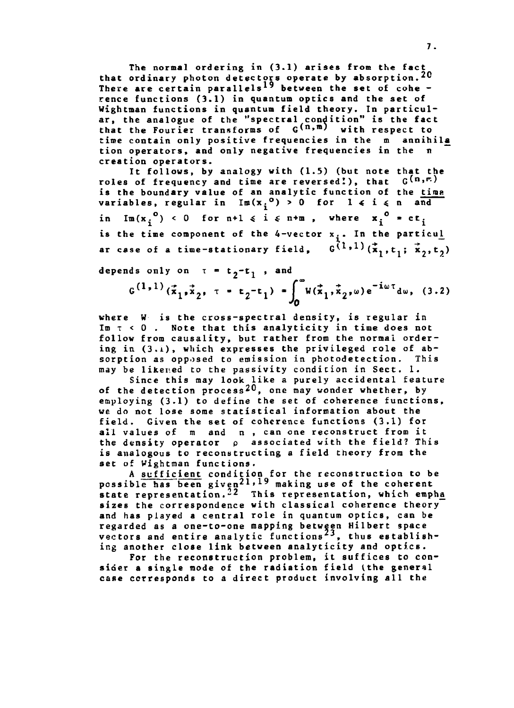**The normal ordering in (3.1) arises from the fact that ordinary photon detectors operate by absorption.\*^ There are certain parallels\*" between the set of cohe rence functions (3.1) in quantum optics and the set of Wightman functions in quantum field theory. In particular, the analogue of the "spectral condition" is the fact that the Fourier transforms of G^<sup>n</sup> » <sup>m</sup> ' with respect to time contain only positive frequencies in the m annihil£ tion operators, and only negative frequencies in the n creation operators.**

**It follows, by analogy with (1.5) (but note that the** roles of frequency and time are reversed!), that  $G^{(n,r)}$ **is the boundary value of an analytic function of the tims** variables, regular in  $Im(x_i^0) > 0$  for  $1 \le i \le n$  and in  $\text{Im}(x_i^0) < 0$  for  $n+1 \le i \le n+m$ , where  $x_i^0 = ct_i^0$ is the time component of the 4-vector x<sub>1</sub>. In the particul ar case of a time-stationary field,  $G^{(1)}$ <sup>1)</sup>( $\tilde{x}_1, t_1;$ 

 $\mathbf{d}$  **epends** only on  $\tau = \mathbf{t_2}-\mathbf{t_1}$ 

$$
G^{(1,1)}(\vec{x}_1, \vec{x}_2, \tau = t_2 - t_1) = \int_0^\infty W(\vec{x}_1, \vec{x}_2, \omega) e^{-i\omega \tau} d\omega, (3.2)
$$

**where W is the cross-spectral density, is regular in In T < 0 . Note that this analyticity in time does not follow from causality, but rather from the normal ordering in (3.i), which expresses the privileged role of absorption as opposed to emission in photodetection. This may be likened to the passivity condition in Sect. 1.**

**Since this may look like a purely accidental feature of the detection process^O, one may wonder whether, by employing (3.1) to define the set of coherence functions, we do not lose some statistical information about the field. Given the set of coherence functions (3.1) for all values of m and n , can one reconstruct from it the density operator p associated with the field? This is analogous to reconstructing a field theory from the set of Wightman functions.**

**A sufficient condition for the reconstruction to be** possible has been given<sup>21,19</sup> making use of the coherent state representation.<sup>22</sup> This representation, which empha **sizes the correspondence with classical coherence theory and has played a central role in quantum optics, can be regarded as a one-to-one mapping between Hubert space** vectors and entire analytic functions<sup>23</sup>, thus establish**ing another close link between analyticity and optics.**

**For the reconstruction problem, it suffices to consider a single node of the radiation field (the general case corresponds to a direct product involving all the**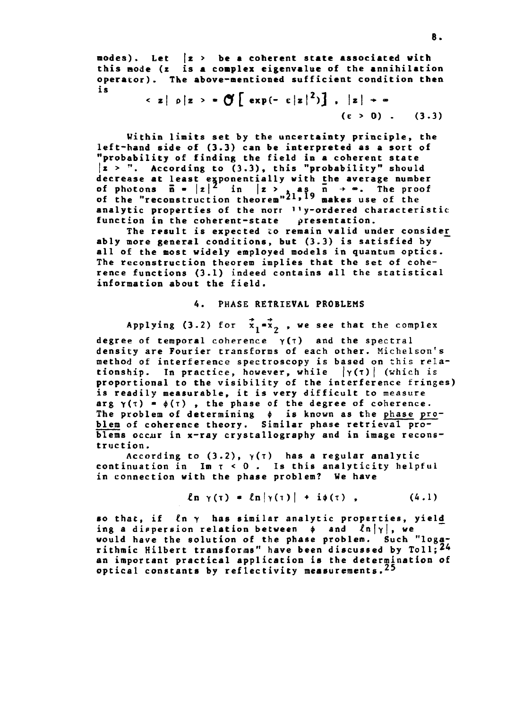**modes). Let |z > be a coherent state associated with this node (z is a complex eigenvalue of the annihilation operator). The above-mentioned sufficient condition then** is

$$
\langle z | \rho | z \rangle = \bigcirc \left[ \exp(- \epsilon |z|^2) \right], \quad |z| \rightarrow \infty
$$
  

$$
(\epsilon > 0). \quad (3.3)
$$

**Within limits set by the uncertainty principle, the left-hand side of (3.3) can be interpreted as a sort of "probability of finding the field in a coherent state |z > ". According to (3.3), this "probability" should decrease at least exponentially with the average number of photons**  $\bar{n} = |z|^2$  **in**  $|z| > \sqrt{2}$  **as n**  $\rightarrow \infty$ **. The proof of the "reconstruction theorem"\*\*» makes use of the analytic properties of the norr ''y-ordered characteristic function in the coherent-state presentation.**

**The result is expected to remain valid under consider^ ably more general conditions, but (3.3) is satisfied by all of the most widely employed models in quantum optics. The reconstruction theorem implies that the set of coherence functions (3.1) indeed contains all the statistical information about the field.**

# **4. PHASE RETRIEVAL PROBLEMS**

**Applying (3.2) for <sup>x</sup> i "<sup>x</sup> 9 »<sup>w</sup> e se e t\* iat tn <sup>e</sup> complex**

**degree of temporal coherence γ(τ) and the spectral density are Fourier transforms of each other. Michelson's method of interference spectroscopy is based on this relationship.** In practice, however, while  $|\gamma(\tau)|$  (which is **proportional to the visibility of the interference fringes) is readily measurable, it is very difficult to measure arg**  $\gamma(\tau) = \phi(\tau)$ , the phase of the degree of coherence. The problem of determining  $\phi$  is known as the phase pro**blem of coherence theory. Similar phase retrieval problems occur in x-ray crystallography and in image reconstruction.**

According to  $(3.2)$ ,  $\gamma(\tau)$  has a regular analytic **continuation in In t < 0 . Is this analyticity helpful in connection with the phase problem? We have**

$$
\ln \gamma(\tau) = \ln |\gamma(\tau)| + i\phi(\tau) , \qquad (4.1)
$$

**so that, if in y has similar analytic properties, yield\_** ing a dispersion relation between  $\phi$  and  $\ln|\gamma|$ , we **would have the solution of the phase problem. Such "loga**rithmic Hilbert transforms" have been discussed by Toll;<sup>24</sup> **an important practical application is the determination of optical constants by reflectivity measurements. ^**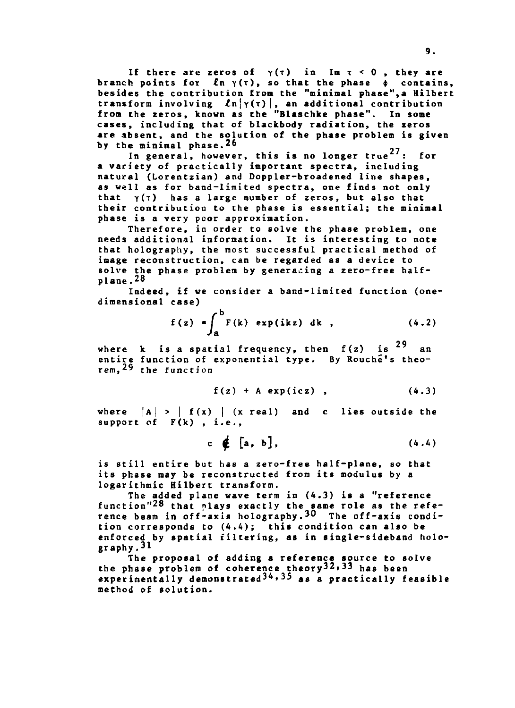If there are zeros of  $\gamma(\tau)$  in Im  $\tau < 0$ , they are branch points for  $\ln \gamma(\tau)$ , so that the phase  $\phi$  contains, **besides the contribution from the "minimal phase",a Hubert transform involving ínjyíOl, an additional contribution from the zeros, known as the "Blaschke phase". In some cases, including that of blackbody radiation, the zeros are absent, and the solution of the phase problem is given by the minimal phase.26**

In general, however, this is no longer true<sup>27</sup>: for **a variety of practically important spectra, including natural (Lorentzian) and Doppler-broadened line shapes, as well as for band-limited spectra, one finds not only** that  $\gamma(\tau)$  has a large number of zeros, but also that **their contribution to the phase is essential; the minimal phase is a very poor approximation.**

**Therefore, in order to solve the phase problem, one needs additional information. It is interesting to note that holography, the most successful practical method of image reconstruction, can be regarded as a device to** solve the phase problem by generating a zero-free half**plane .28**

**Indeed, if we consider a band-limited function (onedimensional case)**

$$
f(z) = \int_{a}^{b} F(k) \exp(ikz) dk,
$$
 (4.2)

J **29 where k is a spatial frequency, then f(z) is an entire function of exponential type. By Rouche's theorem, 29 tn <sup>e</sup> function**

$$
f(z) + A \exp(icz) , \qquad (4.3)
$$

where  $|A| > |f(x)|$  (x real) and c lies outside the **support of F(k) , i.e.,**

$$
c \notin [a, b], \qquad (4.4)
$$

**is still entire but has a zero-free half-plane, so that its phase may be reconstructed from its modulus by a logarithmic Hilbert transform.**

**The added plane wave term in (4.3) is a "reference function"<sup>28</sup> that plays exactly the same role as the reference beam in off-axis holography.30 the off-axis condition corresponds to (4.4); this condition can also be enforced by spatial filtering, as in single-sideband holography.<sup>31</sup>**

**The proposal of adding a reference source to solve the phase problem of coherence theory<sup>3</sup>^»<sup>33</sup> has been experimentally demonstrated<sup>3</sup>^\*<sup>3</sup>^ as a practically feasible method of solution.**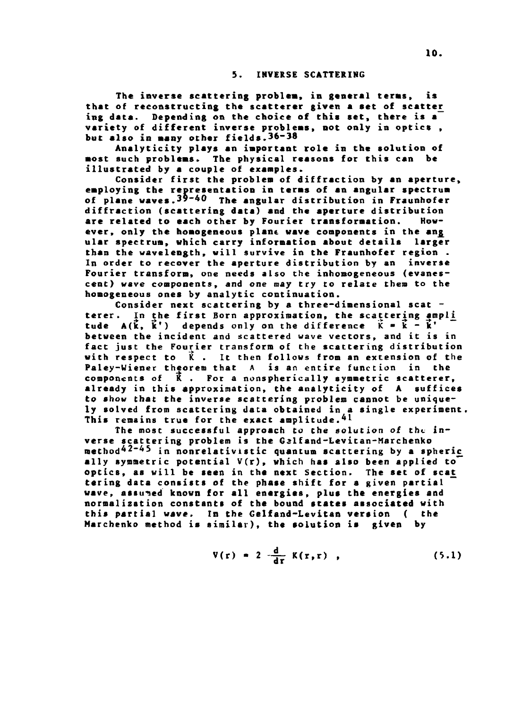#### **5. INVERSE SCATTERING**

**The inverse scattering problem, in general terms, is that of reconstructing the scatterer given a set of scatter ing data. Depending on the choice of this set, there is a variety of different inverse problems, not only in optics , but also in many other fields.36-38**

**Analyticity plays an important role in the solution of most such problems. The physical reasons for this can be illustrated by a couple of examples.**

**Consider first the problem of diffraction by an aperture, employing the representation in terms of an angular spectrum of plane waves.39-40 xhe angular distribution in Fraunhofer diffraction (scattering data) and the aperture distribution** are related to each other by Fourier transformation. **ever, only the homogeneous plane wave components in the ang\_ ular spectrum, which carry information about details larger than the wavelength, will survive in the Fraunhofer region . In order to recover the aperture distribution by an inverse Fourier transform, one needs also the inhomogeneous (evanescent) wave components, and one may try to relate them to the homogeneous ones by analytic continuation.**

**Consider next scattering by a three-dimensional scat**  terer. In the first Born approximation, the scattering ampli **tude**  $A(\vec{k}, \vec{k}')$  depends only on the difference  $\vec{k} = \vec{k} - \vec{k}'$ **between the incident and scattered wave vectors, and it is in fact just the Fourier transform of the scattering distribution with respect to K . It then follows from an extension of the Paley-Wiener theorem that A is an entire function in the components of K . For a nonspherically symmetric scatterer, already in this approximation, the analyticity of A suffices to show that the inverse scattering problem cannot be uniquely solved from scattering data obtained in a single experiment.** This remains true for the exact amplitude.<sup>41</sup>

**The most successful approach to the solution of the inverse scattering problem is the Galfand-Levitan-Marchenko** method<sup>42-45</sup> in nonrelativistic quantum scattering by a spheric **ally symmetric potential V(r), which has also been applied to optics, as will be seen in the next Section. The set of scat tering data consists of the phase shift for a given partial wave, assumed known for all energies, plus the energies and normalization constants of the bound states associated with this partial wave. In the Gelfand-Levitan version ( the Marchenko method is similar), the solution is given by**

$$
V(r) = 2 \frac{d}{dr} K(r,r) , \qquad (5.1)
$$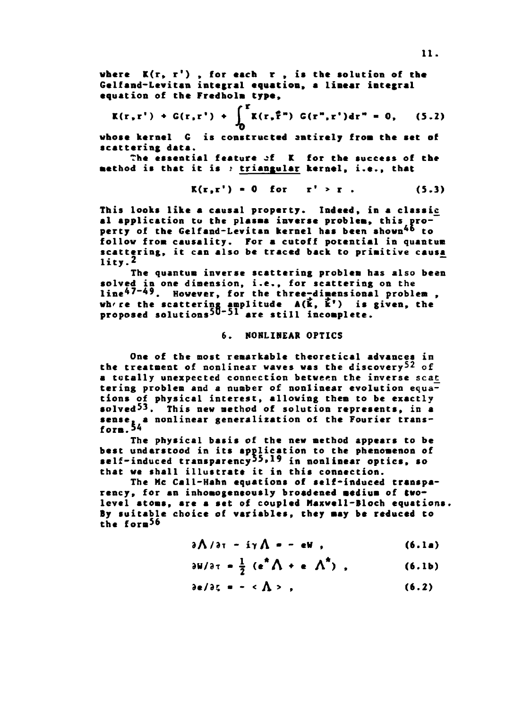**where K(r, r') , for each r , is the solution of the Gclfand-Levitan integral equation, a linear integral equation of the Fredholm type,**

$$
K(r,r') + G(r,r') + \int_0^r K(r,\hat{r}^*) G(r'',r') dr'' = 0, \quad (5.2)
$$

**whose kernel C is constructed smtirely from the set of scattering data.**

**The essential feature of K for the success of che method is that it is i triangular kernel, i.e., that**

$$
K(r,r') = 0 \quad \text{for} \quad r' > r . \tag{5.3}
$$

**This looks like a causal property. Indeed, in a classic al application to the plasma inverse problem, this pro**perty of the Gelfand-Levitan kernel has been shown<sup>46</sup> to **follow from causality. For a cutoff potential in quantum scattering, it can also be traced back to primitive causa lity.<sup>2</sup>**

**The quantum inverse scattering problem has also been solved in one dimension, i.e., for scattering on the** line<sup>47-49</sup>. However, for the three-dimensional problem, **wh're the scattering amplitude A(í, Í') is given, the proposed solutions<sup>5</sup>""<sup>51</sup> are still incomplete.**

### **6. NONLINEAR OPTICS**

**One of the most remarkable theoretical advances in the treatment of nonlinear waves was the discovery<sup>5</sup>^ of** a totally unexpected connection between the inverse scat **tering problem and a number of nonlinear evolution equations of physical interest, allowing them to be exactly solved<sup>5</sup>^. This new method of solution represents, in a sense, a nonlinear generalization of the Fourier transform. 54**

**The physical basis of the new method appears to be best understood in its application to the phenomenon of self-induced transparency<sup>55</sup>» <sup>19</sup> in nonlinear optics, so that we shall illustrate it in this connection.**

**The He Call-Hahn equations of self-induced transparency, for an inhomogeneously broadened medium of twolevel atoms, are a set of coupled Haxwell-Bloch equations. By suitable choice of variables, they may be reduced to the form<sup>56</sup>**

$$
\partial \Lambda / \partial \tau - i \gamma \Lambda = - eW , \qquad (6.1a)
$$

$$
\frac{\partial W}{\partial \tau} = \frac{1}{2} (e^* \Lambda + e \Lambda^*) \quad . \tag{6.1b}
$$

 $3e/3\zeta = - \langle \Lambda \rangle$ , (6.2)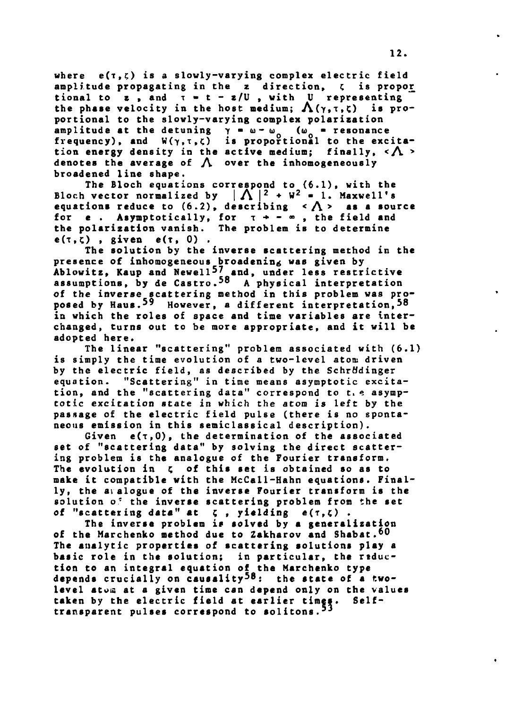**where e(t,ç) is a slowly-varying complex electric field amplitude propagating in the z direction, C is propor\_** tional to  $z$ , and  $\tau$  =  $t$  -  $z/U$ , with U representing the phase velocity in the host medium;  $\Lambda(\gamma, \tau, \zeta)$  is pro**portional to the slowly-varying complex polarization amplitude at the detuning**  $\gamma = \omega - \omega_0$  ( $\omega_0 =$  resonance frequency), and  $W(\gamma, \tau, \zeta)$  is proportional to the excitation energy density in the active medium; finally,  $\langle \Lambda \rangle$ **denotes the average of J\ over the inhomogeneously broadened line shape.**

**The Bloch equations correspond to (6.1), with the** Bloch vector normalized by  $|\Lambda|^2 + W^2 = 1$ . Maxwell's **equations reduce to**  $(6.2)$ **, describing**  $\langle \bigwedge \rangle$  **as a source** for **e** . Asymptotically, for  $\tau \rightarrow -\infty$ , the field and **the polarization vanish. The problem ÍB to determine**  $e(\tau, \zeta)$ , given  $e(\tau, 0)$ .

**The solution by the inverse scattering method in the presence of inhomogeneous broadening was given by** Ablowitz, Kaup and Newell<sup>5</sup>/ and, under less restrictive **assumptions, by de Castro.<sup>5</sup>\*\* A physical interpretation** of the inverse scattering method in this problem was pro**posed by Haus.59 However, a different interpretation,58 in which the roles of space and time variables are interchanged, turns out to be more appropriate, and it will be adopted here.**

**The linear "scattering" problem associated with (6.1) is simply the time evolution of a two-level atom driven by the electric field, as described by the SchrWdinger equation. "Scattering" in time means asymptotic excitation, and the "scattering data" correspond to t.» asymptotic excitation state in which the atom is left by the passage of the electric field pulse (there is no spontaneous emission in this semiclassical description).**

Given  $e(\tau,0)$ , the determination of the associated **set of "scattering data" by solving the direct scattering problem is the analogue of the Fourier transform. The evolution in ç of this set is obtained so as to make it compatible with the McCall-Hahn equations. Finally, the dialogue of the inverse Fourier transform is the solution o\* the inverse scattering problem from the set of "scattering data" «t í , yielding e(r,ç) .**

**The inverse problem is solved by a generalisation of the Marchenko method due to Zakharov and Shabat.^0 The analytic properties of scattering solutions play a basic role in the solution; in particular, the rsduction to an integral equation of the Marchenko type** depends crucially on causality<sup>58</sup>: the state of a twolevel atom at a given time can depend only on the values **taken by the electric field at earlier times. Selftransparent pulses correspond to solitons.<sup>53</sup>**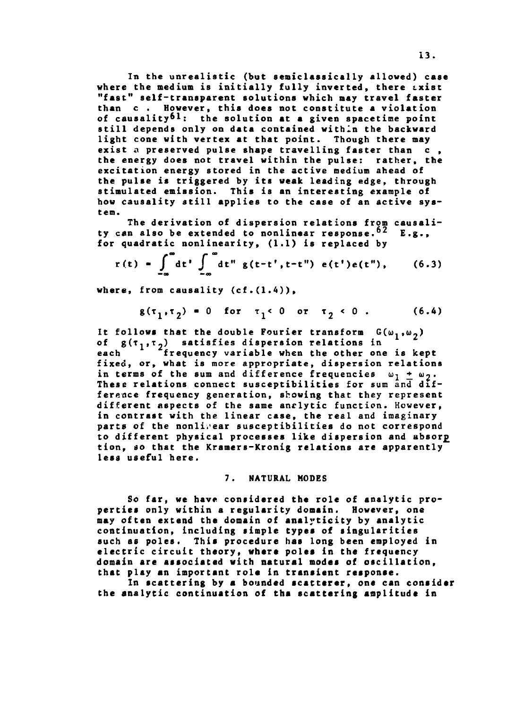**In the unrealistic (but semiclassically allowed) case where the medium is initially fully inverted, there txist "fast" self-transparent solutions which may travel faster than c . However, this does not constitute a violation of causality61; the solution at a given spacetime point still depends only on data contained within the backward light cone with vertex at that point. Though there may exist a preserved pulse shape travelling faster than c , the energy does not travel within the pulse: rather, the excitation energy stored in the active medium ahead of the pulse is triggered by its weak leading edge, through stimulated emission. This is an interesting example of how causality still applies to the case of an active system.**

**The derivation of dispersion relations from causality can also be extended to nonlinear response.<sup>62</sup> E.g., for quadratic nonlinearity, (1.1) is replaced by**

$$
r(t) = \int_{-\infty}^{\infty} dt' \int_{-\infty}^{\infty} dt'' g(t-t', t-t'') e(t') e(t''), \qquad (6.3)
$$

**where, from causality (cf.(1.4)),**

$$
g(\tau_1, \tau_2) = 0
$$
 for  $\tau_1 < 0$  or  $\tau_2 < 0$ . (6.4)

It follows that the double Fourier transform  $G(\omega_1, \omega_2)$ of  $g(\tau_1, \tau_2)$  satisfies dispersion relations in **each frequency variable when the other one is kept fixed, or, what is more appropriate, dispersion relations** in terms of the sum and difference frequencies  $\omega_1 + \omega_2$ . **These relations connect susceptibilities for sum and difference frequency generation, showing that they represent different aspects of the same analytic function. However, in contrast with the linear case, the real and imaginary parts of the nonlinear susceptibilities do not correspond to different physical processes like dispersion and absor£ tion, so that the Kramers-Kronig relations are apparently less useful here.**

# **7. NATURAL MODES**

**So far, we have considered the role of analytic properties only within a regularity domain. However, one may often extend the domain of analyticity by analytic continuation, including simple typea of singularities such as poles. This procedure has long been employed in electric circuit theory, where poles in the frequency domain are associated with natural modes of oscillation, that play an important rola in transient response.**

In scattering by a bounded scatterer, one can consider **the analytic continuation of tha scattering amplitude in**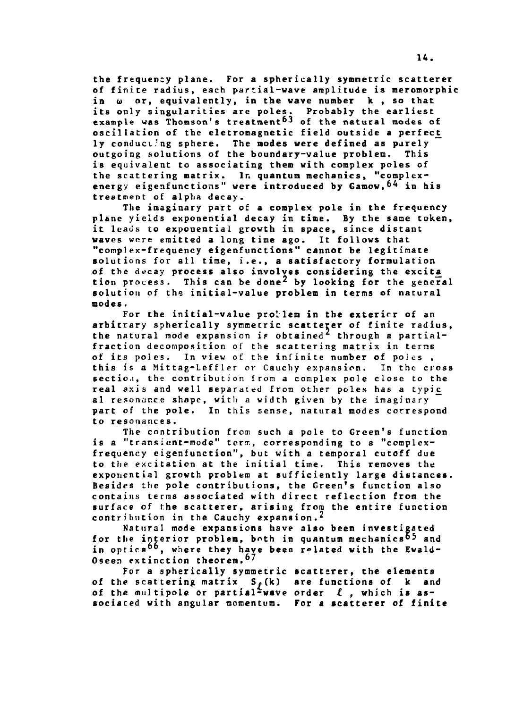**the frequency plane. For a spherically symmetric scattercr of finite radius, each partial-wave amplitude is meromorphic** in  $\omega$  or, equivalently, in the wave number k, so that **its only singularities are poles. Probably the earliest example was Thomson's treatment^ of the natural modes of oscillation of the eletromagnetic field outside a perfect^ ly conducting sphere. The modes were defined as purely outgoing solutions of the boundary-value problem. This is equivalent to associating them with complex poles of the scattering matrix. In quantum mechanics, "complexenergy eigenfunctions" were introduced by Ganow,^ in his treatment of alpha decay.**

**The imaginary part of a complex pole in the frequency plane yields exponential decay in time. By the same token, it leads to exponential growth in space, since distant waves were emitted a long time ago. It follows that "complex-frequency eigenfunctions" cannot be legitimate solutions for all time, i.e., a satisfactory formulation of the decay process also involves considering the excita^ tion process. This can be done^ by looking for the general solution of the initial-value problem in terms of natural modes.**

For the initial-value problem in the exterier of an **arbitrary spherically symmetric scatterer of finite radius,** the natural mode expansion is obtained<sup>2</sup> through a partial**fraction decomposition of the scattering matrix in terms of its poles. In view of the infinite number of poics , this is a Mittag-Leffler or Cauchy expansion. In the cross** section, the contribution from a complex pole close to the **real axis and well separated from other poles has a typic\_ al resonance shape, witli a width given by the imaginary part of the pole. In this sense, natural modes correspond to resonances.**

**The contribution from such a pole to Green's function** is a "transient-mode" term, corresponding to a "complex**frequency eigenfunction", but with a temporal cutoff due to the excitation at the initial time. This removes the exponential growth problem at sufficiently large distances. Besides the pole contributions, the Green's function also contains terms associated with direct reflection from the surface of the scatterer, arising from the entire function contribution in the Cauchy expansion.\***

**Natural mode expansions have also been investigated** for the interior problem, both in quantum mechanics<sup>65</sup> and in optics<sup>66</sup>, where they have been related with the Ewald-Oseen extinction theorem.<sup>67</sup>

**For a spherically symmetric scattsrer, the elements of the scattering m3trix S»(k) are functions of k and of the multipole or partial-wave order I , which is associated with angular momentum. For a «catterer of finite**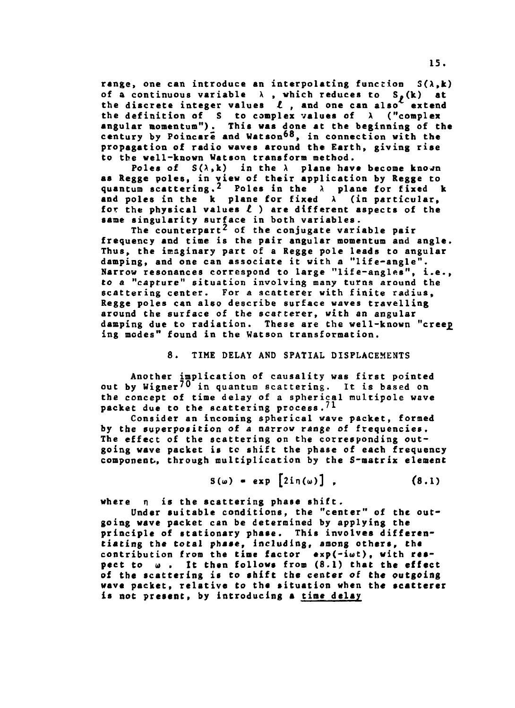**range, one can introduce an interpolating function S(A,k)** of a continuous variable  $\lambda$ , which reduces to  $S_{\ell}(k)$  at the discrete integer values  $\ell$ , and one can also<sup>4</sup> extend **the definition of S to complex values of A ("complex angular momentum"). This was done at the beginning of the century by Poincare and Watson<sup>68</sup>, in connection with the propagation of radio waves around the Earth, giving rise to the well-known Watson transform method.**

Poles of  $S(\lambda, k)$  in the  $\lambda$  plane have become known **as Regge poles, in view of their application by Regge to quantum scattering.2 Poles in the X plane for fixed k and poles in the k plane for fixed X (in particular, for the physical values t ) are different aspects of the same singularity surface in both variables.**

**The counterpart^ of the conjugate variable pair frequency and time is the pair angular momentum and angle. Thus, the imaginary part of a Regge pole leads to angular damping, and one can associate it with a "life-angle". Narrow resonances correspond to large "life-angles", i.e., to a "capture" situation involving many turns around the scattering center. For a scatterer with finite radius, Regge poles can also describe surface waves travelling around the surface of the scarterer, with an angular damping due to radiation. These are the well-known "cree£ ing modes" found in the Watson transformation.**

# **8. TIME DELAY AND SPATIAL DISPLACEMENTS**

**Another implication of causality was first pointed out by Wigner^O in quantum scattering. It is based on the concept of time delay of a spherical multipole wave packet due to the scattering process.<sup>71</sup>**

**Consider an incoming spherical wave packet, formed by the superposition of a narrow range of frequencies.** The effect of the scattering on the corresponding out**going wave packet is tc shift the phase of each frequency component-, through multiplication by the S-matrix element**

$$
S(\omega) = exp [2in(\omega)], \qquad (8.1)
$$

**where n is the scattering phase shift.**

**Under suitable conditions, the "center" of the outgoing wave packet can be determined by applying the principle of stationary phase. This involves differentiating the total phase, including, among others, tha contribution from the time factor exp(-iwt), with respect to u , It then follows from (8.1) that the effect of the scattering is to shift the center of the outgoing wave packet, relative to the situation when the scatterer is not present, by introducing a time delay**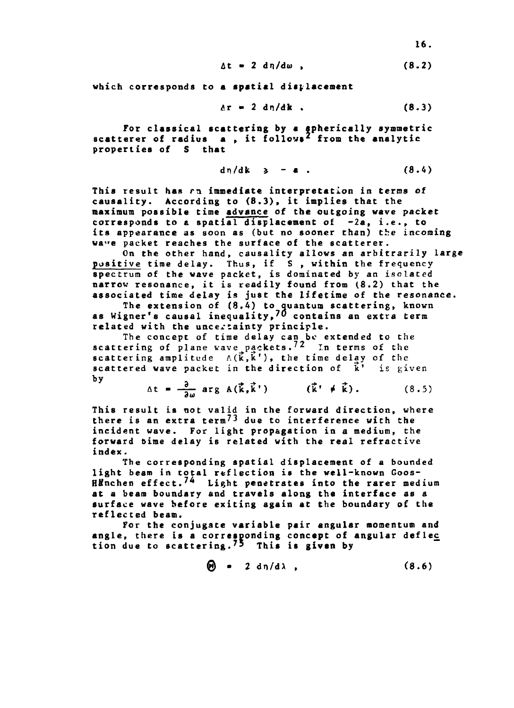$$
\Delta t = 2 d\eta/d\omega, \qquad (8.2)
$$

**which corresponds Co a spatial displacement**

$$
\delta r = 2 \text{ d}\eta/\text{d}\mathbf{k} \tag{8.3}
$$

**For classical scattering by a spherically symmetric scatterer of radius a , it follovs\* from the analytic properties of S that**

$$
dn/dk \geqslant -a \qquad (8.4)
$$

**This result has rn immediate interpretation in terms of causality. According to (8.3), it implies that the maximum possible time advance of the outgoing wave packet corresponds to a spatial displacement of -2a, i.e., to its appearance as soon as (but no sooner than) the incoming wa"e packet reaches the surface of the scatterer.**

**On the other hand, causality allows an arbitrarily large positive time delay. Thus, if S , within the frequency spectrum of the wave packet, is dominated by an isolated narrow resonance, it is readily found from (8.2) that the associated time delay is just the lifetime of the resonance.**

**The extension of (8.4) to quantum scattering, known as Wigner's causal inequality,70 contains an extra term related with the uncertainty principle.**

**The concept of time delay can be extended to the scattering of plane vave packets.?2 Tn terms of the scattering amplitude**  $A(\vec{k}, \vec{k}')$ , the time delay of the **scattered wave packet in the direction of k' is given by**

$$
\Delta t = \frac{\partial}{\partial \omega} \arg A(\vec{k}, \vec{k}^{\prime}) \qquad (\vec{k}^{\prime} \neq \vec{k}). \qquad (8.5)
$$

**This result is not valid in the forward direction, where** there is an extra term<sup>/3</sup> due to interference with the **incident wave. For light propagation in a medium, the forward bime delay is related with the real refractive index.**

**The corresponding spatial displacement of a bounded light beam in total reflection is the well-known Goos-Htfnchen effect.<sup>7</sup>\* Light penetrates into the rarer medium at a beam boundary and travels along the interface as a surface wave before exiting again at the boundary of the reflected beam.**

**For the conjugate variable pair angular momentum and angle, there is a corresponding concept of angular defle£ tion due to scattering.<sup>7</sup>\* This is given by**

$$
\Theta = 2 \text{ d}\eta/\text{d}\lambda , \qquad (8.6)
$$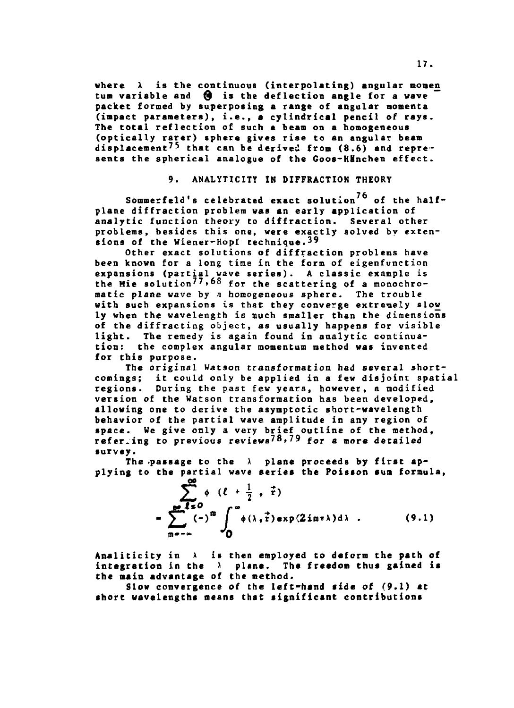where  $\lambda$  is the continuous (interpolating) angular momen tum variable and  $\Theta$  is the deflection angle for a wave **packet formed by superposing a range of angular momenta (impact parameters), i.e., a cylindrical pencil of rays. The total reflection of such a beam on a homogeneous (optically rarer) sphere gives rise to an angular beam** displacement<sup>75</sup> that can be derived from (8.6) and repre**sents the spherical analogue of the Goos-HMnchen effect.**

# **9. ANALYTICITY IN DIFFRACTION THEORY**

Sommerfeld's celebrated exact solution<sup>76</sup> of the half**plane diffraction problem was an early application of analytic function theory to diffraction. Several other problems, besides this one, were exactly solved by extensions of the Wiener-Hopf technique.39**

**Other exact solutions of diffraction problems have been known for a long time in the form of eigenfunction expansions (partial wave series). A classic example is** the Mie solution<sup>77,68</sup> for the scattering of a monochro**matic plane wave by a homogeneous sphere. The trouble with such expansions is that they converge extremely slow ly when the wavelength is much smaller than the dimensions of the diffracting object, as usually happens for visible light. The remedy is again found in analytic continuation: the complex angular momentum method was invented for this purpose.**

**The original Watson transformation had several shortcomings; it could only be applied in a few disjoint spatial regions. During the past few years, however, a modified version of the Watson transformation has been developed, allowing one to derive the asymptotic short-wavelength behavior of the partial wave amplitude in any region of space. We give only a very brief outline of the method, referring to previous reviews?\*\*, 79 f<sup>o</sup> <sup>r</sup> a tnore detailed survey.**

The passage to the  $\lambda$  plane proceeds by first ap**plying to the partial wave series the Poisson sum formula,**

> **r**<sub>1</sub>(-)<sup>-</sup> *(*α) (λ, τ)exp(2imπλ)dλ. (9.1) **IB-"» ''O**

**Analiticity in x is then employed to deform the path of integration in the \ plane. The freedom thus gained is the main advantage of the method.**

**Slow convergence of the left-hand side of (9.1) at short wavelengths means that significant contributions**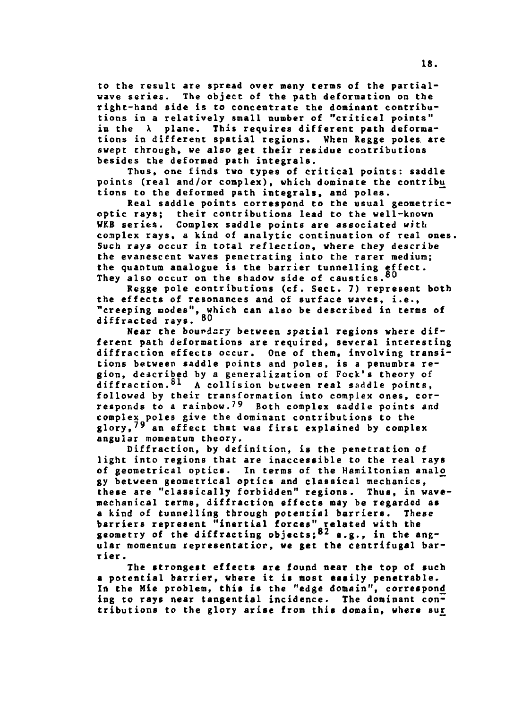**to the result are spread over many terms of the partialwave series. The object of the path deformation on the right-hand side is to concentrate the dominant contributions in a relatively small number of "critical points" in the X plane. This requires different path deformations in different spatial regions. When Regge poles, are swept through, we also get their residue contributions besides the deformed path integrals.**

**Thus, one finds two types of critical points: saddle points (real and/or complex), which dominate the contribii tions to the deformed path integrals, and poles.**

**Real saddle points correspond to the usual geometricoptic rays; their contributions lead to the well-known WKB series. Complex saddle points are associated with complex rays, a kind of analytic continuation of real ones. Such rays occur in total reflection, where they describe the evanescent waves penetrating into the rarer medium; the quantum analogue is the barrier tunnelling effect. They also occur on the shadow side of caustics.°°**

**Regge pole contributions (cf. Sect. 7) represent both the effects of resonances and of surface waves, i.e., "creeping modes", which can also be described in terms of diffracted rays. 8 0**

**Near the boundary between spatial regions where different path deformations are required, several interesting diffraction effects occur. One of them, involving transitions between saddle points and poles, is a penumbra region, described by a generalization of Fock's theory of diffraction.<sup>81</sup> A collision between real saddle points, followed by their transformation into complex ones, corresponds to a rainbow.?' Both complex saddle points and complex poles give the dominant contributions to the glory,79 an effect that was first explained by complex angular momentum theory.**

**Diffraction, by definition, is the penetration of light into regions that are inaccessible to the real rays of geometrical optics. In terms of the Hamiltonian analo gy between geometrical optics and classical mechanics, these are "classically forbidden" regions. Thus, in wavemechanical terms, diffraction effects may be regarded as a kind of tunnelling through potential barriers. These barriers represent "inertial forces" related with the geometry of the diffracting objects;"<sup>2</sup> e.g., in the angular momentum representatior, we get the centrifugal barrier .**

**The strongest effects are found near the top of such a potential barrier, where it is most easily penetrable. In the Mie problem, this is the "edge domain", correspond^ ing to rays near tangential incidence. The dominant contributions to the glory arise from this domain, where su£**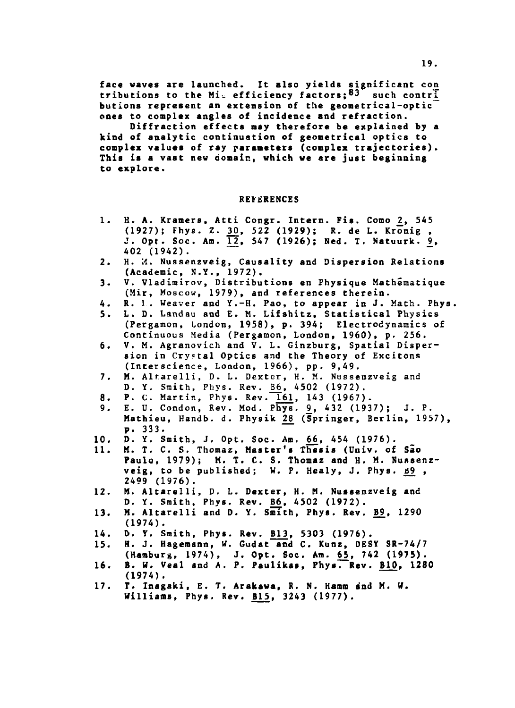face waves are launched. It also yields significant con **tributions to the Mi\_ efficiency factors;®^ such contri. butions represent an extension of the geometrical-optic ones to complex angles of incidence and refraction.**

**Diffraction effects may therefore be explained by a kind of analytic continuation of geometrical optics to complex values of ray parameters (complex trajectories). This is a vast new domain, which we are just beginning to explore.**

# **REFERENCES**

- **1. H. A. Kramers, Atti Congr. Intern. Fis. Como 2\_, 545 (1927); Fhys. Z. 2£, 522 (1929); R. de L. Kronig , J. Opt. Soc. Am. lji, 547 (1926); Ned. T. Natuurk. 2» 402 (1942).**
- **2. H. M. Nussenzveig, Causality and Dispersion Relations (Academic, N.Y., 1972).**
- **3. V. Vladimirov, Distributions en Physique Mathematique (Mir, Moscow, 1979), and references therein.**
- **4. R. 1 . Weaver and Y.-H. Pao, to appear in J. Math. Phys,**
- **5. L. D. Landau and E. M. Lifshitz, Statistical Physics (Pergamon, London, 1958), p. 394; Electrodynamics of Continuous Media (Pergamon, London, 1960), p. 256.**
- **6. V. M. Agranovich and V. L. Ginzburg, Spatial Dispersion in Crystal Optics and the Theory of Excitons (Interscience, London, 1966), pp. 9,49.**
- **7. M. Alr.arelli, D. L. Dexter, H. M. Nussenzveig and** D. Y. Smith, Phys. Rev. **B6**, 4502 (1972).
- 8. P. C. Martin, Phys. Rev. 161, 143 (1967).
- **9. E. U. Condon, Rev. Mod. Phys. £, 432 (1937); J. P.** Mathieu, Handb. d. Physik 28 (Springer, Berlin, 1957), **p. 333.**
- **10. D. Y. Smith, J. Opt. Soc. Am. £6\_, 454 (1976).**
- **11. M. T. C. S. Thomaz, Master's Thesis (Univ. of São Paulo, 1979); M. T. C. S. Thomaz and H. M. Nunsenz**veig, to be published; W. P. Healy, J. Phys. 89, **2499 (1976).**
- **12. M. Altarelli, D. L. Dexter, H. M. Nussenzveig and D. Y. Smith, Phys. Rev. B6, 4502 (1972).**
- **13. M. Altarelli and D. Y. Smith, Phys. Rev. B9, 1290 (1974).**
- 14. D. Y. Smith, Phys. Rev. **B13**, 5303 (1976).
- **15. H. J. Hagemann, W. Gudat and C. Kunz, DESY SR-74/7 (Hamburg, 1974), J. Opt. Soc. Am. 6\_5, 742 (1975).**
- 16. B. W. Veal and A. P. Paulikas, Phys. Rev. B10, 1280 **(1974).**
- **17. T. Inagaki, E. T. Arakawa, R. N. Hamm and M. W. Williams, Phys. Rev. BJJ>, 3243 (1977).**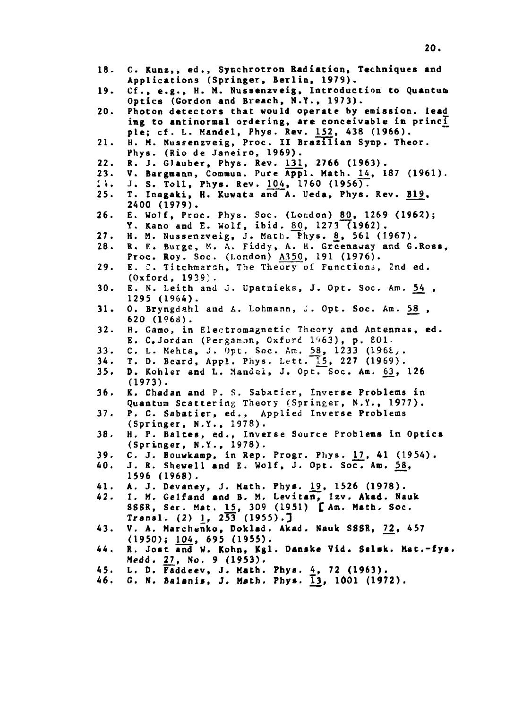| 18.                     | C. Kunz,, ed., Synchrotron Radiation, Techniques and<br>Applications (Springer, Berlin, 1979).                 |  |
|-------------------------|----------------------------------------------------------------------------------------------------------------|--|
| 19.                     | Cf., e.g., H. M. Nussenzveig, Introduction to Quantua<br>Optics (Gordon and Breach, N.Y., 1973).               |  |
| 20.                     | Photon detectors that would operate by emission. lead<br>ing to antinormal ordering, are conceivable in princi |  |
| 21.                     | ple; cf. L. Mandel, Phys. Rev. 152, 438 (1966).<br>H. M. Nussenzveig, Proc. II Brazilian Symp. Theor.          |  |
| 22.                     | Phys. (Rio de Janeiro, 1969).<br>R. J. Glauber, Phys. Rev. 131, 2766 (1963).                                   |  |
| 23.                     | V. Bargmann, Commun. Pure Appl. Math. 14, 187 (1961).                                                          |  |
| $\overline{\mathbf{a}}$ | J. S. Toll, Phys. Rev. 104, 1760 (1956).                                                                       |  |
| 25.                     | T. Inagaki, H. Kuwata and A. Ueda, Phys. Rev. B19,                                                             |  |
|                         | 2400 (1979).                                                                                                   |  |
|                         |                                                                                                                |  |
| 26.                     | E. Wolf, Proc. Phys. Soc. (London) 80, 1269 (1962);                                                            |  |
|                         | Y. Kano and E. Wolf, ibid. 80, 1273 (1962).                                                                    |  |
| 27.                     | H. M. Nussenzveig, J. Math. Phys. 8, 561 (1967).                                                               |  |
| 28.                     | R. E. Burge, M. A. Fiddy, A. H. Greenaway and G.Ross,                                                          |  |
|                         | Proc. Roy. Soc. (London) A350, 191 (1976).                                                                     |  |
| 29.                     | E. C. Titchmarsh, The Theory of Functions, 2nd ed.                                                             |  |
|                         | $(0xford, 1939)$ .                                                                                             |  |
| 30.                     | E. N. Leith and J. Upatnieks, J. Opt. Soc. Am. 54,                                                             |  |
|                         | $1295(1964)$ .                                                                                                 |  |
|                         |                                                                                                                |  |
| 31.                     | O. Bryngdahl and A. Lohmann, J. Opt. Soc. Am. 58,                                                              |  |
|                         | $620(1968)$ .                                                                                                  |  |
| 32.                     | H. Gamo, in Electromagnetic Theory and Antennas, ed.                                                           |  |
|                         | E. C.Jordan (Pergamon, Oxford 1963), p. 801.                                                                   |  |
| 33.                     | C. L. Mehta, J. Opt. Soc. Am. 58, 1233 (1968).                                                                 |  |
| 34.                     | T. D. Beard, Appl. Phys. Lett. 15, 227 (1969).                                                                 |  |
| 35.                     | D. Kohler and L. Mandel, J. Opt. Soc. Am. 63, 126                                                              |  |
|                         | $(1973)$ .                                                                                                     |  |
|                         |                                                                                                                |  |
| 36.                     | K. Chadan and P. S. Sabatier, Inverse Problems in                                                              |  |
|                         | Quantum Scattering Theory (Springer, N.Y., 1977).                                                              |  |
| 37.                     | P. C. Sabatier, ed., Applied Inverse Problems                                                                  |  |
|                         | (Springer, N.Y., 1978).                                                                                        |  |
| 38.                     | H. P. Baltes, ed., Inverse Source Problems in Optics                                                           |  |
|                         | (Springer, N.Y., 1978).                                                                                        |  |
| 39.                     | C. J. Bouwkamp, in Rep. Progr. Phys. 17, 41 (1954).                                                            |  |
| 40.                     | J. R. Shewell and E. Wolf, J. Opt. Soc. Am. 58,                                                                |  |
|                         |                                                                                                                |  |
|                         | 1596 (1968).                                                                                                   |  |
| 41.                     | A. J. Devaney, J. Math. Phys. 19, 1526 (1978).                                                                 |  |
| 42.                     | I. M. Gelfand and B. M. Levitan, Izv. Akad. Nauk                                                               |  |
|                         | SSSR, Ser. Mat. 15, 309 (1951) [Am. Math. Soc.                                                                 |  |
|                         | Transl. $(2)$ 1, $2\overline{53}$ $(1955)$ .                                                                   |  |
| 43.                     | V. A. Marchenko, Doklad. Akad. Nauk SSSR, 72, 457                                                              |  |
|                         | (1950); 104, 695 (1955).                                                                                       |  |
| 44.                     | R. Jost and W. Kohn, Kgl. Danske Vid. Selsk. Mat.-fys.                                                         |  |
|                         |                                                                                                                |  |
|                         | Medd. 27, No. 9 (1953).                                                                                        |  |
| 45.                     | L. D. Faddeev, J. Math. Phys. 4, 72 (1963).                                                                    |  |
| 46.                     | G. N. Balanis, J. Math. Phys. $\overline{1}3$ , 1001 (1972).                                                   |  |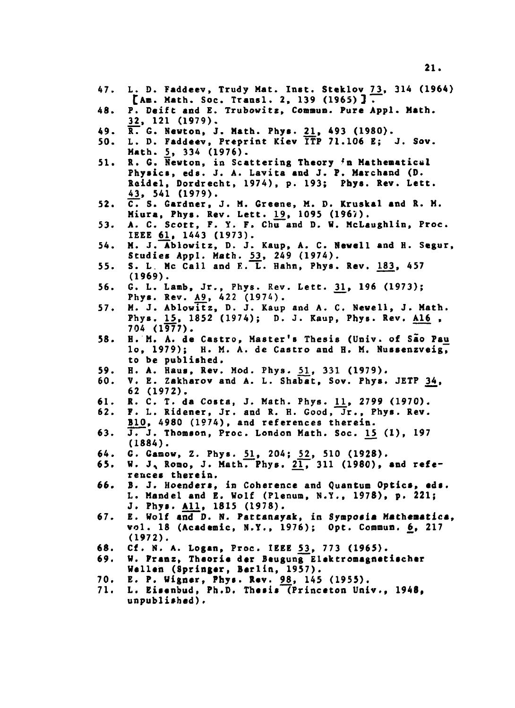- **47. L. D. Faddeev, Trudy Mat. Inst. Steklov 72, 314 (1964) CAn. Math. Soe. Transi. 2, 139 (1965)] .**
- **48. P. Deift and E. Trubowitz, Comaun. Pure Appl. Matb. 22, 121 (1979).**
- **49. R. 6. Newton, J. Math. Phys. 2\_1, 493 (1980).**
- **50. L. D. Faddeev, Preprint Kiev ITP 71.106 E; J. Sov. Math. 2» 334 (1976).**
- **51. R. G. Newton, in Scattering Theory <n Mathematical Physics, eds. J. A. Lavita and J. P. Marchand (D. Reidel, Dordrecht, 1974), p. 193; Phys. Rev. Lett. 42, 541 (1979).**
- **52. C. S. Gardner, J. M. Greene, M. D. Kruskal and R. M. Miura, Phys. Rev. Lett. j\_9, 1095 (1967).**
- **53. A. C. Scott, F. Y. F. Chu and D. W. McLaughlin, Proc. IEEE 61^, 1443 (1973).**
- **54. M. J. Ablowitz, D. J. Kaup, A. C. Newell and H. Segur,** Studies Appl. Math. 53, 249 (1974).
- **55. S. L Me Call and E. L. Hahn, Phys. Rev. 183, 457 (1969).**
- **56. G. L. Lamb, Jr., Phys. Rev. Lett. 31.» <sup>19</sup> <sup>6</sup> i <sup>1</sup> \*^) ;** Phys. Rev.  $A9$ , 422 (1974).
- **57. M. J. Ablowitz, D. J. Kaup and A. C. Newell, J. Math. Phys. ^5, 1852 (1974); D. J. Kaup, Phys. Rev. A16 . 704 (1977).**
- **58. H. M. A. de Castro, Master's Thesis (Univ. of Sao Pai» lo, 1979); H. M. A. de Castro and H. M. Nussenzveig, to be published.**
- 59. H. A. Haus, Rev. Mod. Phys. 51, 331 (1979).
- **60. V. E. Zakharov and A. L. Shabat, Sov. Phys. JETP 34, 62 (1972).**
- **61. R. C. T. da Costa, J. Math. Phys. j\_l, 2799 (1970).**
- **62. F. L. Ridener, Jr. and R. H. Good, Jr., Phys. Rev. B10, 4980 (1974), and references therein.**
- **63. J. J. Thomson, Proc. London Math. Soc. 1\_5 (1), 197 (1884).**
- 64. G. Gamow, Z. Phys. 51, 204; 52, 510 (1928).
- 65. W. J. Romo, J. Math. Phys. 21, 311 (1980), and refe**rences therein.**
- 66. B. J. Hoenders, in Coherence and Quantum Optics, eds. **L. Mandei and E. Wolf (Plenum, N.Y., 1978), p. 221; J. Phys. All., 1815 (1978).**
- **67. E. Wolf and D. N. Pattanayak, in Symposia Matheaatica, vol. IS (Academic, N.Y., 1976); Opt. Commun. 6, 217 (1972).**
- **68. Cf. N. A. Logan, Proc. IEEE 52, 773 (1965).**
- **69. W. Franz, Theorie der Beugung Elektromagnetischer Wellen (Springer, Berlin, 1957).**
- **70. E. P. Wigner, Phys. Rev. 9£, 145 (1955).**
- **71. L. Eisenbud, Ph.D. Thesis (Princeton Univ., 1948, unpublished).**